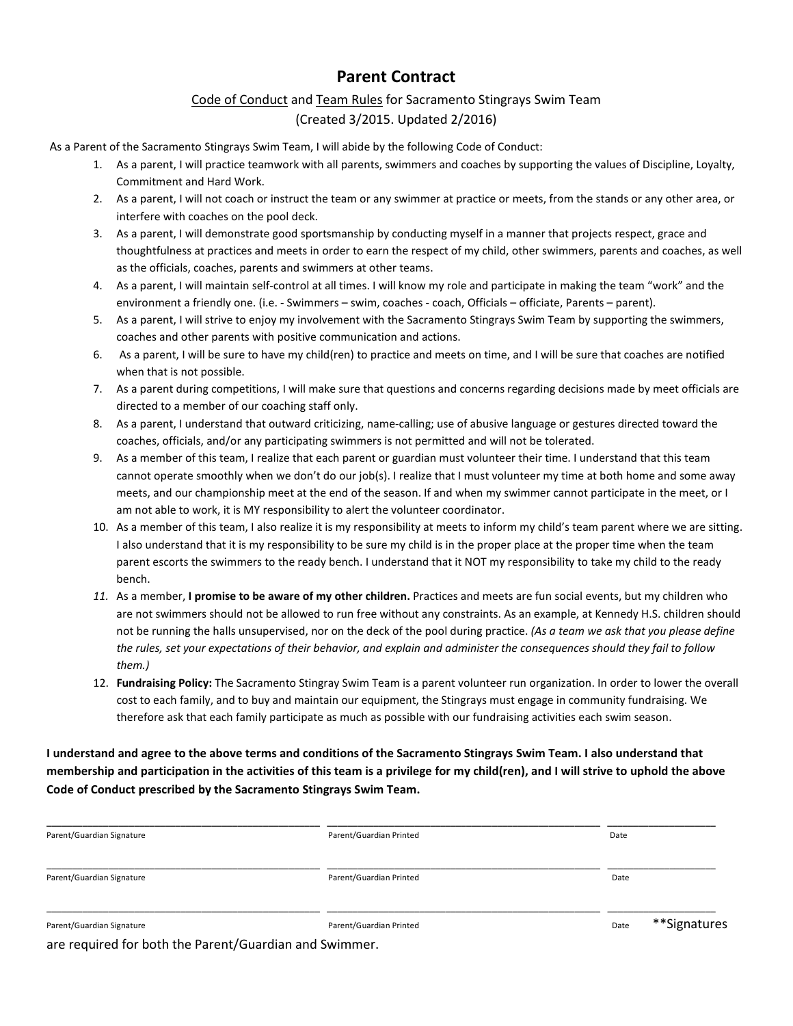# **Parent Contract**

### Code of Conduct and Team Rules for Sacramento Stingrays Swim Team (Created 3/2015. Updated 2/2016)

As a Parent of the Sacramento Stingrays Swim Team, I will abide by the following Code of Conduct:

- 1. As a parent, I will practice teamwork with all parents, swimmers and coaches by supporting the values of Discipline, Loyalty, Commitment and Hard Work.
- 2. As a parent, I will not coach or instruct the team or any swimmer at practice or meets, from the stands or any other area, or interfere with coaches on the pool deck.
- 3. As a parent, I will demonstrate good sportsmanship by conducting myself in a manner that projects respect, grace and thoughtfulness at practices and meets in order to earn the respect of my child, other swimmers, parents and coaches, as well as the officials, coaches, parents and swimmers at other teams.
- 4. As a parent, I will maintain self-control at all times. I will know my role and participate in making the team "work" and the environment a friendly one. (i.e. - Swimmers – swim, coaches - coach, Officials – officiate, Parents – parent).
- 5. As a parent, I will strive to enjoy my involvement with the Sacramento Stingrays Swim Team by supporting the swimmers, coaches and other parents with positive communication and actions.
- 6. As a parent, I will be sure to have my child(ren) to practice and meets on time, and I will be sure that coaches are notified when that is not possible.
- 7. As a parent during competitions, I will make sure that questions and concerns regarding decisions made by meet officials are directed to a member of our coaching staff only.
- 8. As a parent, I understand that outward criticizing, name-calling; use of abusive language or gestures directed toward the coaches, officials, and/or any participating swimmers is not permitted and will not be tolerated.
- 9. As a member of this team, I realize that each parent or guardian must volunteer their time. I understand that this team cannot operate smoothly when we don't do our job(s). I realize that I must volunteer my time at both home and some away meets, and our championship meet at the end of the season. If and when my swimmer cannot participate in the meet, or I am not able to work, it is MY responsibility to alert the volunteer coordinator.
- 10. As a member of this team, I also realize it is my responsibility at meets to inform my child's team parent where we are sitting. I also understand that it is my responsibility to be sure my child is in the proper place at the proper time when the team parent escorts the swimmers to the ready bench. I understand that it NOT my responsibility to take my child to the ready bench.
- *11.* As a member, **I promise to be aware of my other children.** Practices and meets are fun social events, but my children who are not swimmers should not be allowed to run free without any constraints. As an example, at Kennedy H.S. children should not be running the halls unsupervised, nor on the deck of the pool during practice. *(As a team we ask that you please define the rules, set your expectations of their behavior, and explain and administer the consequences should they fail to follow them.)*
- 12. **Fundraising Policy:** The Sacramento Stingray Swim Team is a parent volunteer run organization. In order to lower the overall cost to each family, and to buy and maintain our equipment, the Stingrays must engage in community fundraising. We therefore ask that each family participate as much as possible with our fundraising activities each swim season.

**I understand and agree to the above terms and conditions of the Sacramento Stingrays Swim Team. I also understand that membership and participation in the activities of this team is a privilege for my child(ren), and I will strive to uphold the above Code of Conduct prescribed by the Sacramento Stingrays Swim Team.** 

| Parent/Guardian Signature | Parent/Guardian Printed | Date                 |
|---------------------------|-------------------------|----------------------|
| Parent/Guardian Signature | Parent/Guardian Printed | Date                 |
| Parent/Guardian Signature | Parent/Guardian Printed | **Signatures<br>Date |

are required for both the Parent/Guardian and Swimmer.